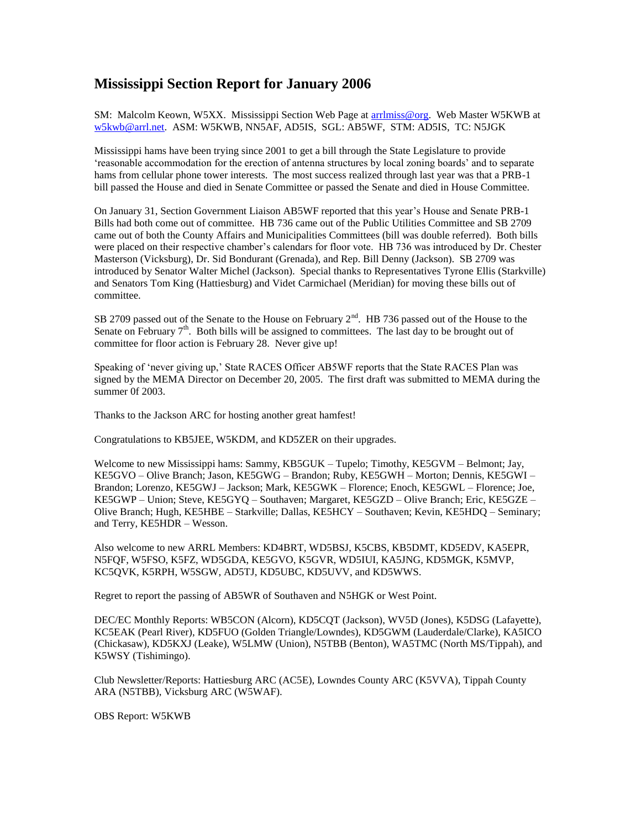## **Mississippi Section Report for January 2006**

SM: Malcolm Keown, W5XX. Mississippi Section Web Page at arrimiss@org. Web Master W5KWB at [w5kwb@arrl.net.](mailto:w5kwb@arrl.net) ASM: W5KWB, NN5AF, AD5IS, SGL: AB5WF, STM: AD5IS, TC: N5JGK

Mississippi hams have been trying since 2001 to get a bill through the State Legislature to provide 'reasonable accommodation for the erection of antenna structures by local zoning boards' and to separate hams from cellular phone tower interests. The most success realized through last year was that a PRB-1 bill passed the House and died in Senate Committee or passed the Senate and died in House Committee.

On January 31, Section Government Liaison AB5WF reported that this year's House and Senate PRB-1 Bills had both come out of committee. HB 736 came out of the Public Utilities Committee and SB 2709 came out of both the County Affairs and Municipalities Committees (bill was double referred). Both bills were placed on their respective chamber's calendars for floor vote. HB 736 was introduced by Dr. Chester Masterson (Vicksburg), Dr. Sid Bondurant (Grenada), and Rep. Bill Denny (Jackson). SB 2709 was introduced by Senator Walter Michel (Jackson). Special thanks to Representatives Tyrone Ellis (Starkville) and Senators Tom King (Hattiesburg) and Videt Carmichael (Meridian) for moving these bills out of committee.

SB 2709 passed out of the Senate to the House on February 2<sup>nd</sup>. HB 736 passed out of the House to the Senate on February  $7<sup>th</sup>$ . Both bills will be assigned to committees. The last day to be brought out of committee for floor action is February 28. Never give up!

Speaking of 'never giving up,' State RACES Officer AB5WF reports that the State RACES Plan was signed by the MEMA Director on December 20, 2005. The first draft was submitted to MEMA during the summer 0f 2003.

Thanks to the Jackson ARC for hosting another great hamfest!

Congratulations to KB5JEE, W5KDM, and KD5ZER on their upgrades.

Welcome to new Mississippi hams: Sammy, KB5GUK – Tupelo; Timothy, KE5GVM – Belmont; Jay, KE5GVO – Olive Branch; Jason, KE5GWG – Brandon; Ruby, KE5GWH – Morton; Dennis, KE5GWI – Brandon; Lorenzo, KE5GWJ – Jackson; Mark, KE5GWK – Florence; Enoch, KE5GWL – Florence; Joe, KE5GWP – Union; Steve, KE5GYQ – Southaven; Margaret, KE5GZD – Olive Branch; Eric, KE5GZE – Olive Branch; Hugh, KE5HBE – Starkville; Dallas, KE5HCY – Southaven; Kevin, KE5HDQ – Seminary; and Terry, KE5HDR – Wesson.

Also welcome to new ARRL Members: KD4BRT, WD5BSJ, K5CBS, KB5DMT, KD5EDV, KA5EPR, N5FQF, W5FSO, K5FZ, WD5GDA, KE5GVO, K5GVR, WD5IUI, KA5JNG, KD5MGK, K5MVP, KC5QVK, K5RPH, W5SGW, AD5TJ, KD5UBC, KD5UVV, and KD5WWS.

Regret to report the passing of AB5WR of Southaven and N5HGK or West Point.

DEC/EC Monthly Reports: WB5CON (Alcorn), KD5CQT (Jackson), WV5D (Jones), K5DSG (Lafayette), KC5EAK (Pearl River), KD5FUO (Golden Triangle/Lowndes), KD5GWM (Lauderdale/Clarke), KA5ICO (Chickasaw), KD5KXJ (Leake), W5LMW (Union), N5TBB (Benton), WA5TMC (North MS/Tippah), and K5WSY (Tishimingo).

Club Newsletter/Reports: Hattiesburg ARC (AC5E), Lowndes County ARC (K5VVA), Tippah County ARA (N5TBB), Vicksburg ARC (W5WAF).

OBS Report: W5KWB